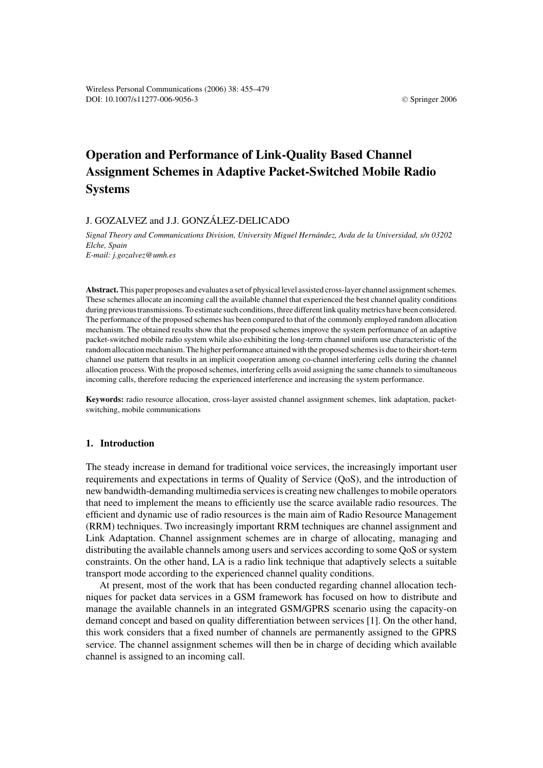# **Operation and Performance of Link-Quality Based Channel Assignment Schemes in Adaptive Packet-Switched Mobile Radio Systems**

# J. GOZALVEZ and J.J. GONZÁLEZ-DELICADO

*Signal Theory and Communications Division, University Miguel Hernandez, Avda de la Universidad, s/n 03202 ´ Elche, Spain E-mail: j.gozalvez@umh.es*

**Abstract.** This paper proposes and evaluates a set of physical level assisted cross-layer channel assignment schemes. These schemes allocate an incoming call the available channel that experienced the best channel quality conditions during previous transmissions. To estimate such conditions, three different link quality metrics have been considered. The performance of the proposed schemes has been compared to that of the commonly employed random allocation mechanism. The obtained results show that the proposed schemes improve the system performance of an adaptive packet-switched mobile radio system while also exhibiting the long-term channel uniform use characteristic of the random allocation mechanism. The higher performance attained with the proposed schemes is due to their short-term channel use pattern that results in an implicit cooperation among co-channel interfering cells during the channel allocation process. With the proposed schemes, interfering cells avoid assigning the same channels to simultaneous incoming calls, therefore reducing the experienced interference and increasing the system performance.

**Keywords:** radio resource allocation, cross-layer assisted channel assignment schemes, link adaptation, packetswitching, mobile communications

# **1. Introduction**

The steady increase in demand for traditional voice services, the increasingly important user requirements and expectations in terms of Quality of Service (QoS), and the introduction of new bandwidth-demanding multimedia services is creating new challenges to mobile operators that need to implement the means to efficiently use the scarce available radio resources. The efficient and dynamic use of radio resources is the main aim of Radio Resource Management (RRM) techniques. Two increasingly important RRM techniques are channel assignment and Link Adaptation. Channel assignment schemes are in charge of allocating, managing and distributing the available channels among users and services according to some QoS or system constraints. On the other hand, LA is a radio link technique that adaptively selects a suitable transport mode according to the experienced channel quality conditions.

At present, most of the work that has been conducted regarding channel allocation techniques for packet data services in a GSM framework has focused on how to distribute and manage the available channels in an integrated GSM/GPRS scenario using the capacity-on demand concept and based on quality differentiation between services [1]. On the other hand, this work considers that a fixed number of channels are permanently assigned to the GPRS service. The channel assignment schemes will then be in charge of deciding which available channel is assigned to an incoming call.

<sup>C</sup> Springer 2006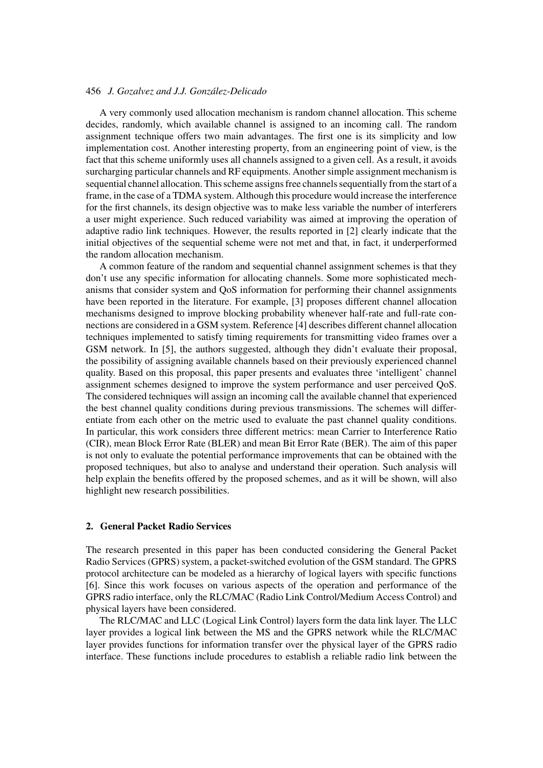A very commonly used allocation mechanism is random channel allocation. This scheme decides, randomly, which available channel is assigned to an incoming call. The random assignment technique offers two main advantages. The first one is its simplicity and low implementation cost. Another interesting property, from an engineering point of view, is the fact that this scheme uniformly uses all channels assigned to a given cell. As a result, it avoids surcharging particular channels and RF equipments. Another simple assignment mechanism is sequential channel allocation. This scheme assigns free channels sequentially from the start of a frame, in the case of a TDMA system. Although this procedure would increase the interference for the first channels, its design objective was to make less variable the number of interferers a user might experience. Such reduced variability was aimed at improving the operation of adaptive radio link techniques. However, the results reported in [2] clearly indicate that the initial objectives of the sequential scheme were not met and that, in fact, it underperformed the random allocation mechanism.

A common feature of the random and sequential channel assignment schemes is that they don't use any specific information for allocating channels. Some more sophisticated mechanisms that consider system and QoS information for performing their channel assignments have been reported in the literature. For example, [3] proposes different channel allocation mechanisms designed to improve blocking probability whenever half-rate and full-rate connections are considered in a GSM system. Reference [4] describes different channel allocation techniques implemented to satisfy timing requirements for transmitting video frames over a GSM network. In [5], the authors suggested, although they didn't evaluate their proposal, the possibility of assigning available channels based on their previously experienced channel quality. Based on this proposal, this paper presents and evaluates three 'intelligent' channel assignment schemes designed to improve the system performance and user perceived QoS. The considered techniques will assign an incoming call the available channel that experienced the best channel quality conditions during previous transmissions. The schemes will differentiate from each other on the metric used to evaluate the past channel quality conditions. In particular, this work considers three different metrics: mean Carrier to Interference Ratio (CIR), mean Block Error Rate (BLER) and mean Bit Error Rate (BER). The aim of this paper is not only to evaluate the potential performance improvements that can be obtained with the proposed techniques, but also to analyse and understand their operation. Such analysis will help explain the benefits offered by the proposed schemes, and as it will be shown, will also highlight new research possibilities.

#### **2. General Packet Radio Services**

The research presented in this paper has been conducted considering the General Packet Radio Services (GPRS) system, a packet-switched evolution of the GSM standard. The GPRS protocol architecture can be modeled as a hierarchy of logical layers with specific functions [6]. Since this work focuses on various aspects of the operation and performance of the GPRS radio interface, only the RLC/MAC (Radio Link Control/Medium Access Control) and physical layers have been considered.

The RLC/MAC and LLC (Logical Link Control) layers form the data link layer. The LLC layer provides a logical link between the MS and the GPRS network while the RLC/MAC layer provides functions for information transfer over the physical layer of the GPRS radio interface. These functions include procedures to establish a reliable radio link between the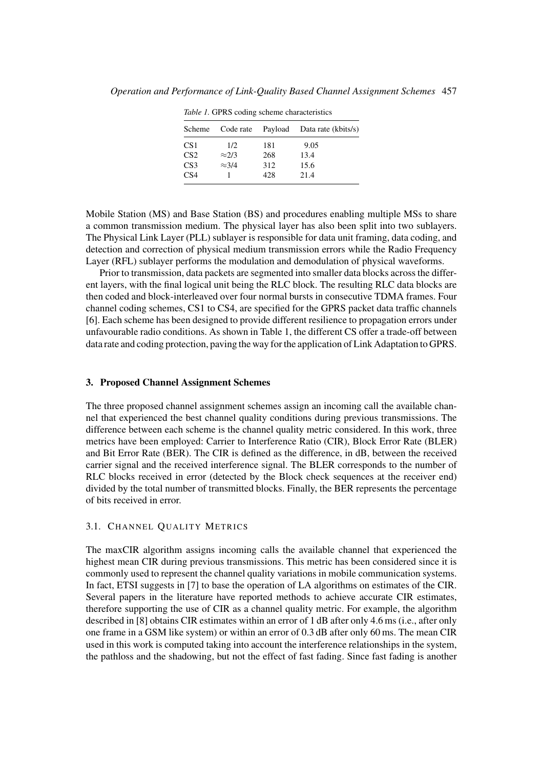| Scheme          | Code rate     |     | Payload Data rate (kbits/s) |
|-----------------|---------------|-----|-----------------------------|
|                 |               |     |                             |
| CS <sub>1</sub> | 1/2           | 181 | 9.05                        |
| CS <sub>2</sub> | $\approx$ 2/3 | 268 | 13.4                        |
| CS <sub>3</sub> | $\approx 3/4$ | 312 | 15.6                        |
| CS <sub>4</sub> |               | 428 | 21.4                        |

*Table 1.* GPRS coding scheme characteristics

Mobile Station (MS) and Base Station (BS) and procedures enabling multiple MSs to share a common transmission medium. The physical layer has also been split into two sublayers. The Physical Link Layer (PLL) sublayer is responsible for data unit framing, data coding, and detection and correction of physical medium transmission errors while the Radio Frequency Layer (RFL) sublayer performs the modulation and demodulation of physical waveforms.

Prior to transmission, data packets are segmented into smaller data blocks across the different layers, with the final logical unit being the RLC block. The resulting RLC data blocks are then coded and block-interleaved over four normal bursts in consecutive TDMA frames. Four channel coding schemes, CS1 to CS4, are specified for the GPRS packet data traffic channels [6]. Each scheme has been designed to provide different resilience to propagation errors under unfavourable radio conditions. As shown in Table 1, the different CS offer a trade-off between data rate and coding protection, paving the way for the application of Link Adaptation to GPRS.

#### **3. Proposed Channel Assignment Schemes**

The three proposed channel assignment schemes assign an incoming call the available channel that experienced the best channel quality conditions during previous transmissions. The difference between each scheme is the channel quality metric considered. In this work, three metrics have been employed: Carrier to Interference Ratio (CIR), Block Error Rate (BLER) and Bit Error Rate (BER). The CIR is defined as the difference, in dB, between the received carrier signal and the received interference signal. The BLER corresponds to the number of RLC blocks received in error (detected by the Block check sequences at the receiver end) divided by the total number of transmitted blocks. Finally, the BER represents the percentage of bits received in error.

# 3.1. CHANNEL QUALITY METRICS

The maxCIR algorithm assigns incoming calls the available channel that experienced the highest mean CIR during previous transmissions. This metric has been considered since it is commonly used to represent the channel quality variations in mobile communication systems. In fact, ETSI suggests in [7] to base the operation of LA algorithms on estimates of the CIR. Several papers in the literature have reported methods to achieve accurate CIR estimates, therefore supporting the use of CIR as a channel quality metric. For example, the algorithm described in [8] obtains CIR estimates within an error of 1 dB after only 4.6 ms (i.e., after only one frame in a GSM like system) or within an error of 0.3 dB after only 60 ms. The mean CIR used in this work is computed taking into account the interference relationships in the system, the pathloss and the shadowing, but not the effect of fast fading. Since fast fading is another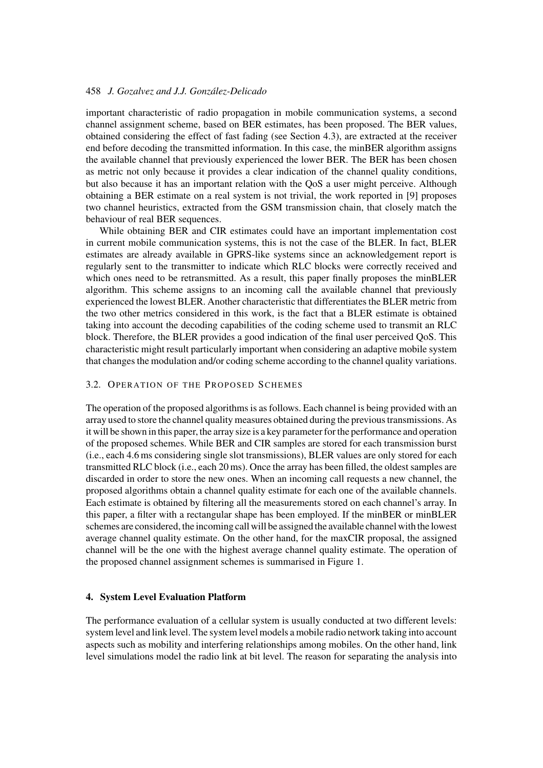important characteristic of radio propagation in mobile communication systems, a second channel assignment scheme, based on BER estimates, has been proposed. The BER values, obtained considering the effect of fast fading (see Section 4.3), are extracted at the receiver end before decoding the transmitted information. In this case, the minBER algorithm assigns the available channel that previously experienced the lower BER. The BER has been chosen as metric not only because it provides a clear indication of the channel quality conditions, but also because it has an important relation with the QoS a user might perceive. Although obtaining a BER estimate on a real system is not trivial, the work reported in [9] proposes two channel heuristics, extracted from the GSM transmission chain, that closely match the behaviour of real BER sequences.

While obtaining BER and CIR estimates could have an important implementation cost in current mobile communication systems, this is not the case of the BLER. In fact, BLER estimates are already available in GPRS-like systems since an acknowledgement report is regularly sent to the transmitter to indicate which RLC blocks were correctly received and which ones need to be retransmitted. As a result, this paper finally proposes the minBLER algorithm. This scheme assigns to an incoming call the available channel that previously experienced the lowest BLER. Another characteristic that differentiates the BLER metric from the two other metrics considered in this work, is the fact that a BLER estimate is obtained taking into account the decoding capabilities of the coding scheme used to transmit an RLC block. Therefore, the BLER provides a good indication of the final user perceived QoS. This characteristic might result particularly important when considering an adaptive mobile system that changes the modulation and/or coding scheme according to the channel quality variations.

# 3.2. OPERATION OF THE PROPOSED SCHEMES

The operation of the proposed algorithms is as follows. Each channel is being provided with an array used to store the channel quality measures obtained during the previous transmissions. As it will be shown in this paper, the array size is a key parameter for the performance and operation of the proposed schemes. While BER and CIR samples are stored for each transmission burst (i.e., each 4.6 ms considering single slot transmissions), BLER values are only stored for each transmitted RLC block (i.e., each 20 ms). Once the array has been filled, the oldest samples are discarded in order to store the new ones. When an incoming call requests a new channel, the proposed algorithms obtain a channel quality estimate for each one of the available channels. Each estimate is obtained by filtering all the measurements stored on each channel's array. In this paper, a filter with a rectangular shape has been employed. If the minBER or minBLER schemes are considered, the incoming call will be assigned the available channel with the lowest average channel quality estimate. On the other hand, for the maxCIR proposal, the assigned channel will be the one with the highest average channel quality estimate. The operation of the proposed channel assignment schemes is summarised in Figure 1.

# **4. System Level Evaluation Platform**

The performance evaluation of a cellular system is usually conducted at two different levels: system level and link level. The system level models a mobile radio network taking into account aspects such as mobility and interfering relationships among mobiles. On the other hand, link level simulations model the radio link at bit level. The reason for separating the analysis into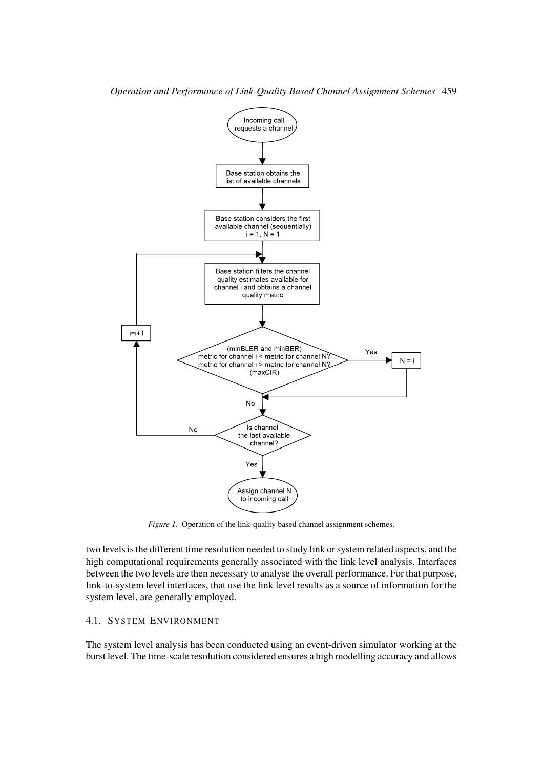

*Figure 1*. Operation of the link-quality based channel assignment schemes.

two levels is the different time resolution needed to study link or system related aspects, and the high computational requirements generally associated with the link level analysis. Interfaces between the two levels are then necessary to analyse the overall performance. For that purpose, link-to-system level interfaces, that use the link level results as a source of information for the system level, are generally employed.

# 4.1. SYSTEM ENVIRONMENT

The system level analysis has been conducted using an event-driven simulator working at the burst level. The time-scale resolution considered ensures a high modelling accuracy and allows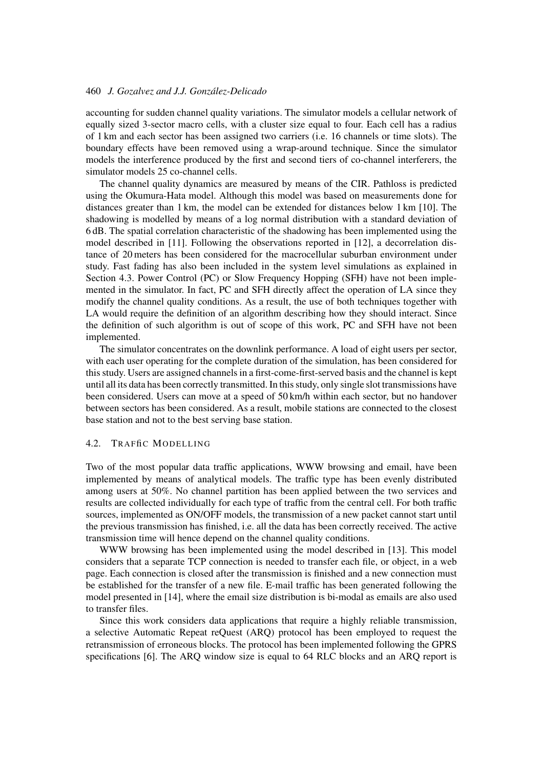accounting for sudden channel quality variations. The simulator models a cellular network of equally sized 3-sector macro cells, with a cluster size equal to four. Each cell has a radius of 1 km and each sector has been assigned two carriers (i.e. 16 channels or time slots). The boundary effects have been removed using a wrap-around technique. Since the simulator models the interference produced by the first and second tiers of co-channel interferers, the simulator models 25 co-channel cells.

The channel quality dynamics are measured by means of the CIR. Pathloss is predicted using the Okumura-Hata model. Although this model was based on measurements done for distances greater than 1 km, the model can be extended for distances below 1 km [10]. The shadowing is modelled by means of a log normal distribution with a standard deviation of 6 dB. The spatial correlation characteristic of the shadowing has been implemented using the model described in [11]. Following the observations reported in [12], a decorrelation distance of 20 meters has been considered for the macrocellular suburban environment under study. Fast fading has also been included in the system level simulations as explained in Section 4.3. Power Control (PC) or Slow Frequency Hopping (SFH) have not been implemented in the simulator. In fact, PC and SFH directly affect the operation of LA since they modify the channel quality conditions. As a result, the use of both techniques together with LA would require the definition of an algorithm describing how they should interact. Since the definition of such algorithm is out of scope of this work, PC and SFH have not been implemented.

The simulator concentrates on the downlink performance. A load of eight users per sector, with each user operating for the complete duration of the simulation, has been considered for this study. Users are assigned channels in a first-come-first-served basis and the channel is kept until all its data has been correctly transmitted. In this study, only single slot transmissions have been considered. Users can move at a speed of 50 km/h within each sector, but no handover between sectors has been considered. As a result, mobile stations are connected to the closest base station and not to the best serving base station.

# 4.2. TRAFfiC MODELLING

Two of the most popular data traffic applications, WWW browsing and email, have been implemented by means of analytical models. The traffic type has been evenly distributed among users at 50%. No channel partition has been applied between the two services and results are collected individually for each type of traffic from the central cell. For both traffic sources, implemented as ON/OFF models, the transmission of a new packet cannot start until the previous transmission has finished, i.e. all the data has been correctly received. The active transmission time will hence depend on the channel quality conditions.

WWW browsing has been implemented using the model described in [13]. This model considers that a separate TCP connection is needed to transfer each file, or object, in a web page. Each connection is closed after the transmission is finished and a new connection must be established for the transfer of a new file. E-mail traffic has been generated following the model presented in [14], where the email size distribution is bi-modal as emails are also used to transfer files.

Since this work considers data applications that require a highly reliable transmission, a selective Automatic Repeat reQuest (ARQ) protocol has been employed to request the retransmission of erroneous blocks. The protocol has been implemented following the GPRS specifications [6]. The ARQ window size is equal to 64 RLC blocks and an ARQ report is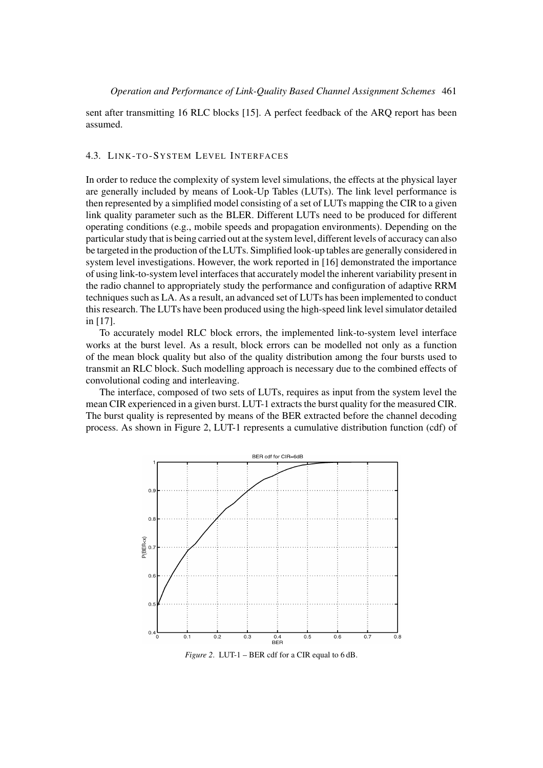sent after transmitting 16 RLC blocks [15]. A perfect feedback of the ARQ report has been assumed.

#### 4.3. LINK-TO-SYSTEM LEVEL INTERFACES

In order to reduce the complexity of system level simulations, the effects at the physical layer are generally included by means of Look-Up Tables (LUTs). The link level performance is then represented by a simplified model consisting of a set of LUTs mapping the CIR to a given link quality parameter such as the BLER. Different LUTs need to be produced for different operating conditions (e.g., mobile speeds and propagation environments). Depending on the particular study that is being carried out at the system level, different levels of accuracy can also be targeted in the production of the LUTs. Simplified look-up tables are generally considered in system level investigations. However, the work reported in [16] demonstrated the importance of using link-to-system level interfaces that accurately model the inherent variability present in the radio channel to appropriately study the performance and configuration of adaptive RRM techniques such as LA. As a result, an advanced set of LUTs has been implemented to conduct this research. The LUTs have been produced using the high-speed link level simulator detailed in [17].

To accurately model RLC block errors, the implemented link-to-system level interface works at the burst level. As a result, block errors can be modelled not only as a function of the mean block quality but also of the quality distribution among the four bursts used to transmit an RLC block. Such modelling approach is necessary due to the combined effects of convolutional coding and interleaving.

The interface, composed of two sets of LUTs, requires as input from the system level the mean CIR experienced in a given burst. LUT-1 extracts the burst quality for the measured CIR. The burst quality is represented by means of the BER extracted before the channel decoding process. As shown in Figure 2, LUT-1 represents a cumulative distribution function (cdf) of



*Figure 2*. LUT-1 – BER cdf for a CIR equal to 6 dB.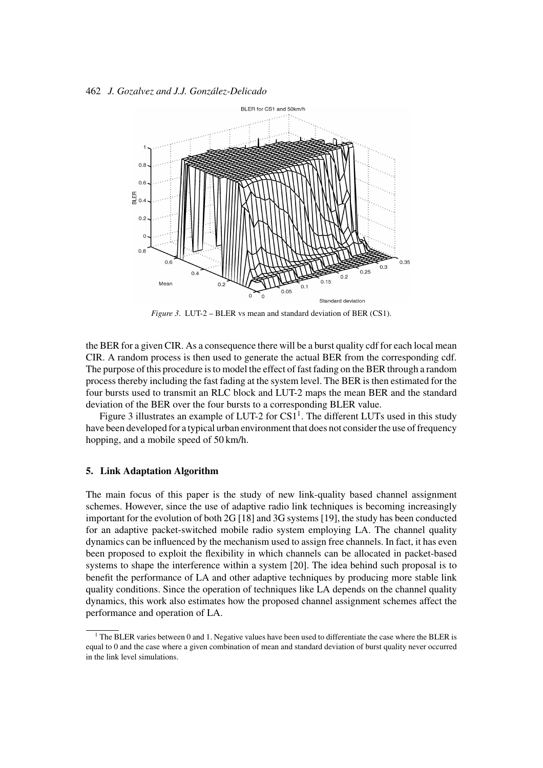462 *J. Gozalvez and J.J. Gonzalez-Delicado ´*



*Figure 3*. LUT-2 – BLER vs mean and standard deviation of BER (CS1).

the BER for a given CIR. As a consequence there will be a burst quality cdf for each local mean CIR. A random process is then used to generate the actual BER from the corresponding cdf. The purpose of this procedure is to model the effect of fast fading on the BER through a random process thereby including the fast fading at the system level. The BER is then estimated for the four bursts used to transmit an RLC block and LUT-2 maps the mean BER and the standard deviation of the BER over the four bursts to a corresponding BLER value.

Figure 3 illustrates an example of LUT-2 for  $CS1<sup>1</sup>$ . The different LUTs used in this study have been developed for a typical urban environment that does not consider the use of frequency hopping, and a mobile speed of 50 km/h.

# **5. Link Adaptation Algorithm**

The main focus of this paper is the study of new link-quality based channel assignment schemes. However, since the use of adaptive radio link techniques is becoming increasingly important for the evolution of both 2G [18] and 3G systems [19], the study has been conducted for an adaptive packet-switched mobile radio system employing LA. The channel quality dynamics can be influenced by the mechanism used to assign free channels. In fact, it has even been proposed to exploit the flexibility in which channels can be allocated in packet-based systems to shape the interference within a system [20]. The idea behind such proposal is to benefit the performance of LA and other adaptive techniques by producing more stable link quality conditions. Since the operation of techniques like LA depends on the channel quality dynamics, this work also estimates how the proposed channel assignment schemes affect the performance and operation of LA.

<sup>&</sup>lt;sup>1</sup> The BLER varies between 0 and 1. Negative values have been used to differentiate the case where the BLER is equal to 0 and the case where a given combination of mean and standard deviation of burst quality never occurred in the link level simulations.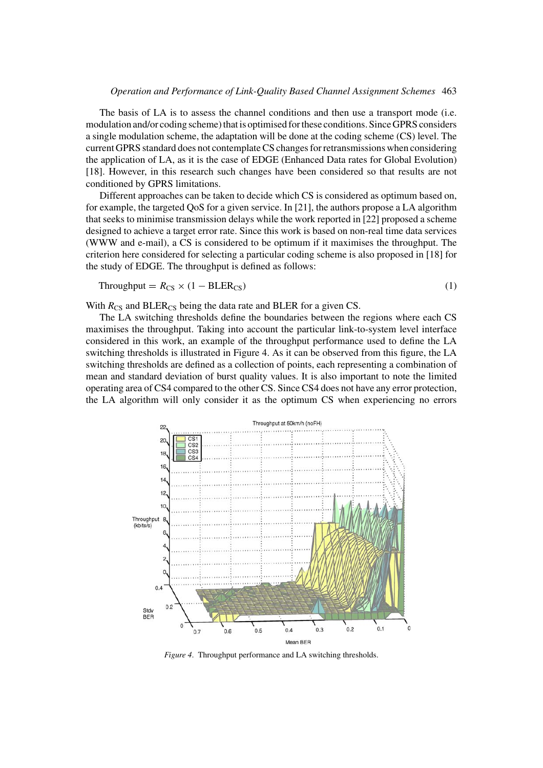The basis of LA is to assess the channel conditions and then use a transport mode (i.e. modulation and/or coding scheme) that is optimised for these conditions. Since GPRS considers a single modulation scheme, the adaptation will be done at the coding scheme (CS) level. The current GPRS standard does not contemplate CS changes for retransmissions when considering the application of LA, as it is the case of EDGE (Enhanced Data rates for Global Evolution) [18]. However, in this research such changes have been considered so that results are not conditioned by GPRS limitations.

Different approaches can be taken to decide which CS is considered as optimum based on, for example, the targeted QoS for a given service. In [21], the authors propose a LA algorithm that seeks to minimise transmission delays while the work reported in [22] proposed a scheme designed to achieve a target error rate. Since this work is based on non-real time data services (WWW and e-mail), a CS is considered to be optimum if it maximises the throughput. The criterion here considered for selecting a particular coding scheme is also proposed in [18] for the study of EDGE. The throughput is defined as follows:

$$
Throughout = R_{CS} \times (1 - BLER_{CS})
$$
\n(1)

With  $R_{CS}$  and BLER<sub>CS</sub> being the data rate and BLER for a given CS.

The LA switching thresholds define the boundaries between the regions where each CS maximises the throughput. Taking into account the particular link-to-system level interface considered in this work, an example of the throughput performance used to define the LA switching thresholds is illustrated in Figure 4. As it can be observed from this figure, the LA switching thresholds are defined as a collection of points, each representing a combination of mean and standard deviation of burst quality values. It is also important to note the limited operating area of CS4 compared to the other CS. Since CS4 does not have any error protection, the LA algorithm will only consider it as the optimum CS when experiencing no errors



*Figure 4*. Throughput performance and LA switching thresholds.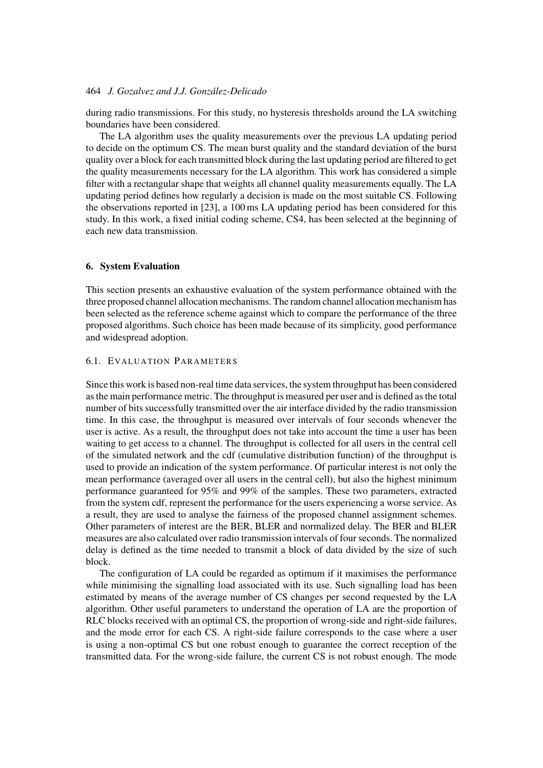during radio transmissions. For this study, no hysteresis thresholds around the LA switching boundaries have been considered.

The LA algorithm uses the quality measurements over the previous LA updating period to decide on the optimum CS. The mean burst quality and the standard deviation of the burst quality over a block for each transmitted block during the last updating period are filtered to get the quality measurements necessary for the LA algorithm. This work has considered a simple filter with a rectangular shape that weights all channel quality measurements equally. The LA updating period defines how regularly a decision is made on the most suitable CS. Following the observations reported in [23], a 100 ms LA updating period has been considered for this study. In this work, a fixed initial coding scheme, CS4, has been selected at the beginning of each new data transmission.

#### **6. System Evaluation**

This section presents an exhaustive evaluation of the system performance obtained with the three proposed channel allocation mechanisms. The random channel allocation mechanism has been selected as the reference scheme against which to compare the performance of the three proposed algorithms. Such choice has been made because of its simplicity, good performance and widespread adoption.

# 6.1. EVALUATION PARAMETERS

Since this work is based non-real time data services, the system throughput has been considered as the main performance metric. The throughput is measured per user and is defined as the total number of bits successfully transmitted over the air interface divided by the radio transmission time. In this case, the throughput is measured over intervals of four seconds whenever the user is active. As a result, the throughput does not take into account the time a user has been waiting to get access to a channel. The throughput is collected for all users in the central cell of the simulated network and the cdf (cumulative distribution function) of the throughput is used to provide an indication of the system performance. Of particular interest is not only the mean performance (averaged over all users in the central cell), but also the highest minimum performance guaranteed for 95% and 99% of the samples. These two parameters, extracted from the system cdf, represent the performance for the users experiencing a worse service. As a result, they are used to analyse the fairness of the proposed channel assignment schemes. Other parameters of interest are the BER, BLER and normalized delay. The BER and BLER measures are also calculated over radio transmission intervals of four seconds. The normalized delay is defined as the time needed to transmit a block of data divided by the size of such block.

The configuration of LA could be regarded as optimum if it maximises the performance while minimising the signalling load associated with its use. Such signalling load has been estimated by means of the average number of CS changes per second requested by the LA algorithm. Other useful parameters to understand the operation of LA are the proportion of RLC blocks received with an optimal CS, the proportion of wrong-side and right-side failures, and the mode error for each CS. A right-side failure corresponds to the case where a user is using a non-optimal CS but one robust enough to guarantee the correct reception of the transmitted data. For the wrong-side failure, the current CS is not robust enough. The mode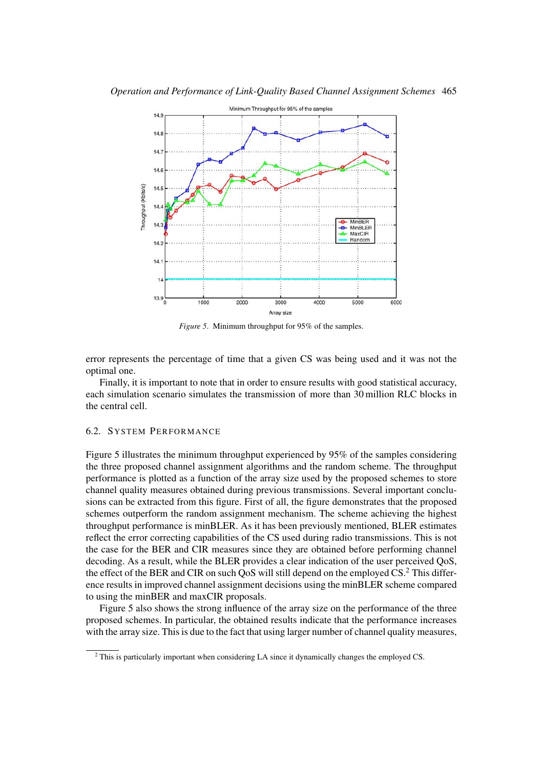

*Figure 5*. Minimum throughput for 95% of the samples.

error represents the percentage of time that a given CS was being used and it was not the optimal one.

Finally, it is important to note that in order to ensure results with good statistical accuracy, each simulation scenario simulates the transmission of more than 30 million RLC blocks in the central cell.

# 6.2. SYSTEM PERFORMANCE

Figure 5 illustrates the minimum throughput experienced by 95% of the samples considering the three proposed channel assignment algorithms and the random scheme. The throughput performance is plotted as a function of the array size used by the proposed schemes to store channel quality measures obtained during previous transmissions. Several important conclusions can be extracted from this figure. First of all, the figure demonstrates that the proposed schemes outperform the random assignment mechanism. The scheme achieving the highest throughput performance is minBLER. As it has been previously mentioned, BLER estimates reflect the error correcting capabilities of the CS used during radio transmissions. This is not the case for the BER and CIR measures since they are obtained before performing channel decoding. As a result, while the BLER provides a clear indication of the user perceived QoS, the effect of the BER and CIR on such QoS will still depend on the employed CS.<sup>2</sup> This difference results in improved channel assignment decisions using the minBLER scheme compared to using the minBER and maxCIR proposals.

Figure 5 also shows the strong influence of the array size on the performance of the three proposed schemes. In particular, the obtained results indicate that the performance increases with the array size. This is due to the fact that using larger number of channel quality measures,

<sup>&</sup>lt;sup>2</sup> This is particularly important when considering LA since it dynamically changes the employed CS.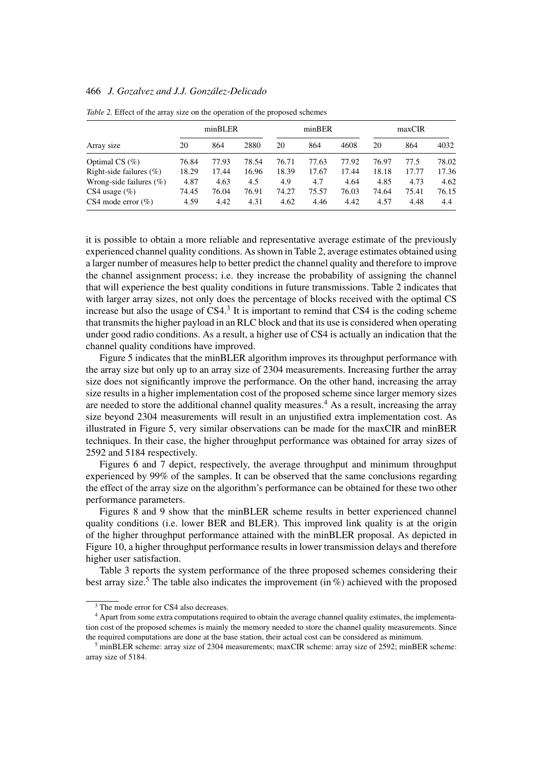|                             | minBLER |       |       | minBER |       |       | maxCIR |       |       |
|-----------------------------|---------|-------|-------|--------|-------|-------|--------|-------|-------|
| Array size                  | 20      | 864   | 2880  | 20     | 864   | 4608  | 20     | 864   | 4032  |
| Optimal CS $(\%)$           | 76.84   | 77.93 | 78.54 | 76.71  | 77.63 | 77.92 | 76.97  | 77.5  | 78.02 |
| Right-side failures $(\%)$  | 18.29   | 17.44 | 16.96 | 18.39  | 17.67 | 17.44 | 18.18  | 17.77 | 17.36 |
| Wrong-side failures $(\% )$ | 4.87    | 4.63  | 4.5   | 4.9    | 4.7   | 4.64  | 4.85   | 4.73  | 4.62  |
| CS4 usage $(\%)$            | 74.45   | 76.04 | 76.91 | 74.27  | 75.57 | 76.03 | 74.64  | 75.41 | 76.15 |
| CS4 mode error $(\% )$      | 4.59    | 4.42  | 4.31  | 4.62   | 4.46  | 4.42  | 4.57   | 4.48  | 4.4   |

*Table 2.* Effect of the array size on the operation of the proposed schemes

it is possible to obtain a more reliable and representative average estimate of the previously experienced channel quality conditions. As shown in Table 2, average estimates obtained using a larger number of measures help to better predict the channel quality and therefore to improve the channel assignment process; i.e. they increase the probability of assigning the channel that will experience the best quality conditions in future transmissions. Table 2 indicates that with larger array sizes, not only does the percentage of blocks received with the optimal CS increase but also the usage of  $CS4<sup>3</sup>$  It is important to remind that CS4 is the coding scheme that transmits the higher payload in an RLC block and that its use is considered when operating under good radio conditions. As a result, a higher use of CS4 is actually an indication that the channel quality conditions have improved.

Figure 5 indicates that the minBLER algorithm improves its throughput performance with the array size but only up to an array size of 2304 measurements. Increasing further the array size does not significantly improve the performance. On the other hand, increasing the array size results in a higher implementation cost of the proposed scheme since larger memory sizes are needed to store the additional channel quality measures.<sup>4</sup> As a result, increasing the array size beyond 2304 measurements will result in an unjustified extra implementation cost. As illustrated in Figure 5, very similar observations can be made for the maxCIR and minBER techniques. In their case, the higher throughput performance was obtained for array sizes of 2592 and 5184 respectively.

Figures 6 and 7 depict, respectively, the average throughput and minimum throughput experienced by 99% of the samples. It can be observed that the same conclusions regarding the effect of the array size on the algorithm's performance can be obtained for these two other performance parameters.

Figures 8 and 9 show that the minBLER scheme results in better experienced channel quality conditions (i.e. lower BER and BLER). This improved link quality is at the origin of the higher throughput performance attained with the minBLER proposal. As depicted in Figure 10, a higher throughput performance results in lower transmission delays and therefore higher user satisfaction.

Table 3 reports the system performance of the three proposed schemes considering their best array size.<sup>5</sup> The table also indicates the improvement (in %) achieved with the proposed

<sup>&</sup>lt;sup>3</sup> The mode error for CS4 also decreases.

<sup>4</sup> Apart from some extra computations required to obtain the average channel quality estimates, the implementation cost of the proposed schemes is mainly the memory needed to store the channel quality measurements. Since the required computations are done at the base station, their actual cost can be considered as minimum.

<sup>5</sup> minBLER scheme: array size of 2304 measurements; maxCIR scheme: array size of 2592; minBER scheme: array size of 5184.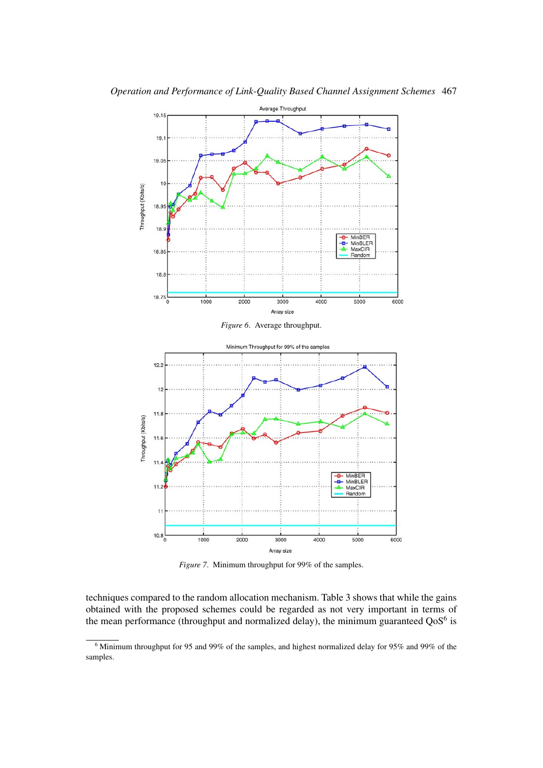

*Figure 7*. Minimum throughput for 99% of the samples.

techniques compared to the random allocation mechanism. Table 3 shows that while the gains obtained with the proposed schemes could be regarded as not very important in terms of the mean performance (throughput and normalized delay), the minimum guaranteed  $QoS<sup>6</sup>$  is

<sup>6</sup> Minimum throughput for 95 and 99% of the samples, and highest normalized delay for 95% and 99% of the samples.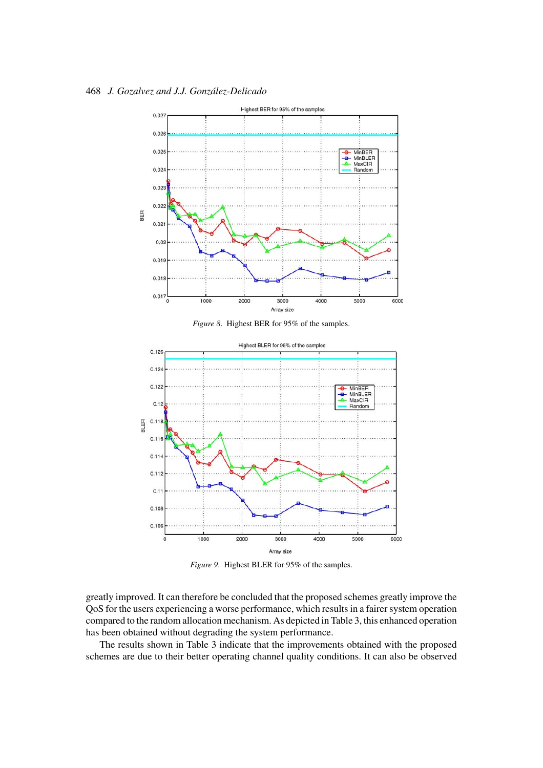468 *J. Gozalvez and J.J. Gonzalez-Delicado ´*



*Figure 9*. Highest BLER for 95% of the samples.

greatly improved. It can therefore be concluded that the proposed schemes greatly improve the QoS for the users experiencing a worse performance, which results in a fairer system operation compared to the random allocation mechanism. As depicted in Table 3, this enhanced operation has been obtained without degrading the system performance.

The results shown in Table 3 indicate that the improvements obtained with the proposed schemes are due to their better operating channel quality conditions. It can also be observed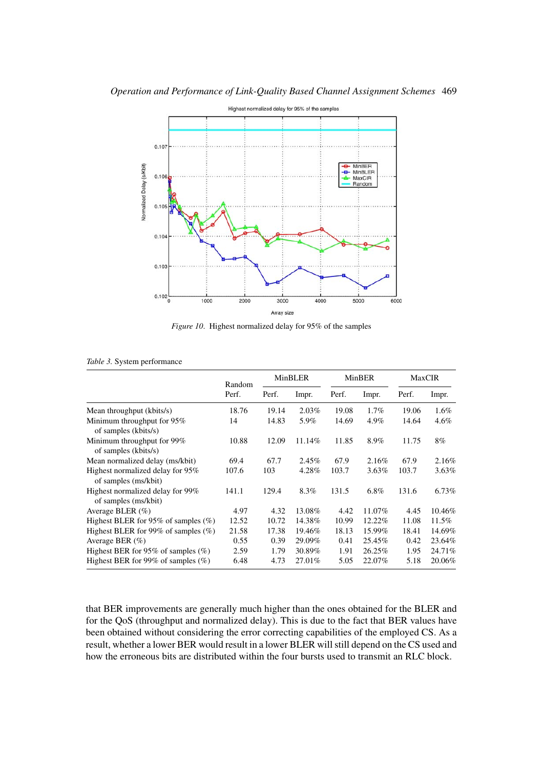

*Figure 10*. Highest normalized delay for 95% of the samples

|                                                          | Random | MinBLER |        | MinBER |          | <b>MaxCIR</b> |         |
|----------------------------------------------------------|--------|---------|--------|--------|----------|---------------|---------|
|                                                          | Perf.  | Perf.   | Impr.  | Perf.  | Impr.    | Perf.         | Impr.   |
| Mean throughput (kbits/s)                                | 18.76  | 19.14   | 2.03%  | 19.08  | $1.7\%$  | 19.06         | $1.6\%$ |
| Minimum throughput for 95%<br>of samples (kbits/s)       | 14     | 14.83   | 5.9%   | 14.69  | 4.9%     | 14.64         | 4.6%    |
| Minimum throughput for 99%<br>of samples (kbits/s)       | 10.88  | 12.09   | 11.14% | 11.85  | 8.9%     | 11.75         | 8%      |
| Mean normalized delay (ms/kbit)                          | 69.4   | 67.7    | 2.45%  | 67.9   | 2.16%    | 67.9          | 2.16%   |
| Highest normalized delay for 95%<br>of samples (ms/kbit) | 107.6  | 103     | 4.28%  | 103.7  | $3.63\%$ | 103.7         | 3.63%   |
| Highest normalized delay for 99%<br>of samples (ms/kbit) | 141.1  | 129.4   | 8.3%   | 131.5  | 6.8%     | 131.6         | 6.73%   |
| Average BLER $(\%)$                                      | 4.97   | 4.32    | 13.08% | 4.42   | 11.07%   | 4.45          | 10.46%  |
| Highest BLER for 95% of samples $(\%)$                   | 12.52  | 10.72   | 14.38% | 10.99  | 12.22%   | 11.08         | 11.5%   |
| Highest BLER for 99% of samples $(\%)$                   | 21.58  | 17.38   | 19.46% | 18.13  | 15.99%   | 18.41         | 14.69%  |
| Average BER $(\%)$                                       | 0.55   | 0.39    | 29.09% | 0.41   | 25.45%   | 0.42          | 23.64%  |
| Highest BER for 95% of samples $(\%)$                    | 2.59   | 1.79    | 30.89% | 1.91   | 26.25%   | 1.95          | 24.71%  |
| Highest BER for 99% of samples $(\%)$                    | 6.48   | 4.73    | 27.01% | 5.05   | 22.07%   | 5.18          | 20.06%  |

that BER improvements are generally much higher than the ones obtained for the BLER and for the QoS (throughput and normalized delay). This is due to the fact that BER values have been obtained without considering the error correcting capabilities of the employed CS. As a result, whether a lower BER would result in a lower BLER will still depend on the CS used and how the erroneous bits are distributed within the four bursts used to transmit an RLC block.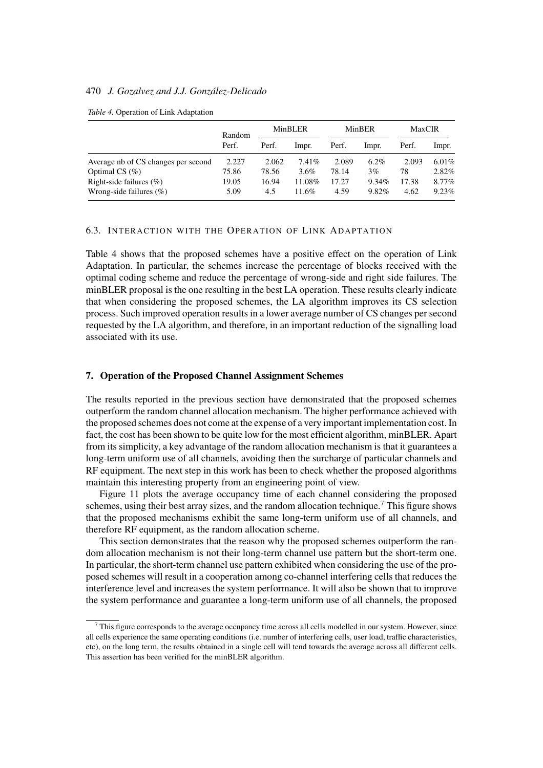|                                     | Random<br>Perf. | MinBLER |          | MinBER |          | <b>MaxCIR</b> |       |
|-------------------------------------|-----------------|---------|----------|--------|----------|---------------|-------|
|                                     |                 | Perf.   | Impr.    | Perf.  | lmpr.    | Perf.         | Impr. |
| Average nb of CS changes per second | 2.227           | 2.062   | $7.41\%$ | 2.089  | $6.2\%$  | 2.093         | 6.01% |
| Optimal CS $(\%)$                   | 75.86           | 78.56   | $3.6\%$  | 78.14  | 3%       | 78            | 2.82% |
| Right-side failures $(\% )$         | 19.05           | 16.94   | 11.08%   | 17.27  | $9.34\%$ | 17.38         | 8.77% |
| Wrong-side failures $(\% )$         | 5.09            | 4.5     | 11.6%    | 4.59   | $9.82\%$ | 4.62          | 9.23% |

#### *Table 4.* Operation of Link Adaptation

# 6.3. INTERACTION WITH THE OPERATION OF LINK ADAPTATION

Table 4 shows that the proposed schemes have a positive effect on the operation of Link Adaptation. In particular, the schemes increase the percentage of blocks received with the optimal coding scheme and reduce the percentage of wrong-side and right side failures. The minBLER proposal is the one resulting in the best LA operation. These results clearly indicate that when considering the proposed schemes, the LA algorithm improves its CS selection process. Such improved operation results in a lower average number of CS changes per second requested by the LA algorithm, and therefore, in an important reduction of the signalling load associated with its use.

#### **7. Operation of the Proposed Channel Assignment Schemes**

The results reported in the previous section have demonstrated that the proposed schemes outperform the random channel allocation mechanism. The higher performance achieved with the proposed schemes does not come at the expense of a very important implementation cost. In fact, the cost has been shown to be quite low for the most efficient algorithm, minBLER. Apart from its simplicity, a key advantage of the random allocation mechanism is that it guarantees a long-term uniform use of all channels, avoiding then the surcharge of particular channels and RF equipment. The next step in this work has been to check whether the proposed algorithms maintain this interesting property from an engineering point of view.

Figure 11 plots the average occupancy time of each channel considering the proposed schemes, using their best array sizes, and the random allocation technique.<sup>7</sup> This figure shows that the proposed mechanisms exhibit the same long-term uniform use of all channels, and therefore RF equipment, as the random allocation scheme.

This section demonstrates that the reason why the proposed schemes outperform the random allocation mechanism is not their long-term channel use pattern but the short-term one. In particular, the short-term channel use pattern exhibited when considering the use of the proposed schemes will result in a cooperation among co-channel interfering cells that reduces the interference level and increases the system performance. It will also be shown that to improve the system performance and guarantee a long-term uniform use of all channels, the proposed

<sup>7</sup> This figure corresponds to the average occupancy time across all cells modelled in our system. However, since all cells experience the same operating conditions (i.e. number of interfering cells, user load, traffic characteristics, etc), on the long term, the results obtained in a single cell will tend towards the average across all different cells. This assertion has been verified for the minBLER algorithm.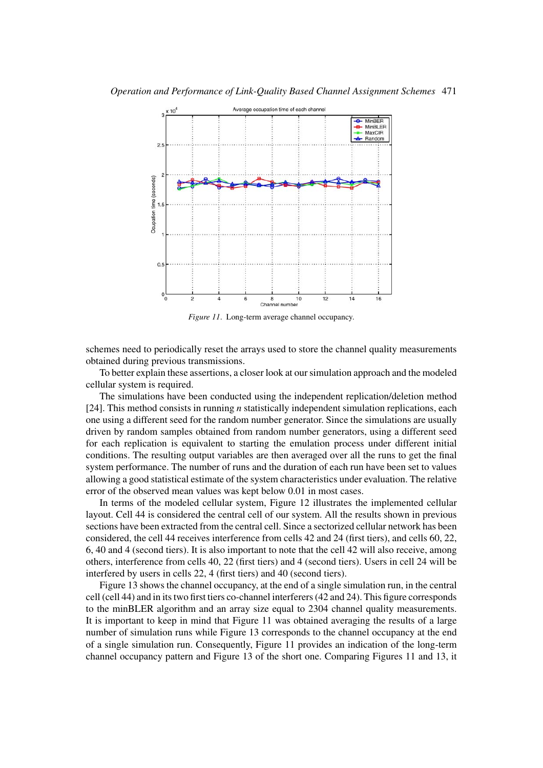

*Figure 11*. Long-term average channel occupancy.

schemes need to periodically reset the arrays used to store the channel quality measurements obtained during previous transmissions.

To better explain these assertions, a closer look at our simulation approach and the modeled cellular system is required.

The simulations have been conducted using the independent replication/deletion method [24]. This method consists in running *n* statistically independent simulation replications, each one using a different seed for the random number generator. Since the simulations are usually driven by random samples obtained from random number generators, using a different seed for each replication is equivalent to starting the emulation process under different initial conditions. The resulting output variables are then averaged over all the runs to get the final system performance. The number of runs and the duration of each run have been set to values allowing a good statistical estimate of the system characteristics under evaluation. The relative error of the observed mean values was kept below 0.01 in most cases.

In terms of the modeled cellular system, Figure 12 illustrates the implemented cellular layout. Cell 44 is considered the central cell of our system. All the results shown in previous sections have been extracted from the central cell. Since a sectorized cellular network has been considered, the cell 44 receives interference from cells 42 and 24 (first tiers), and cells 60, 22, 6, 40 and 4 (second tiers). It is also important to note that the cell 42 will also receive, among others, interference from cells 40, 22 (first tiers) and 4 (second tiers). Users in cell 24 will be interfered by users in cells 22, 4 (first tiers) and 40 (second tiers).

Figure 13 shows the channel occupancy, at the end of a single simulation run, in the central cell (cell 44) and in its two first tiers co-channel interferers (42 and 24). This figure corresponds to the minBLER algorithm and an array size equal to 2304 channel quality measurements. It is important to keep in mind that Figure 11 was obtained averaging the results of a large number of simulation runs while Figure 13 corresponds to the channel occupancy at the end of a single simulation run. Consequently, Figure 11 provides an indication of the long-term channel occupancy pattern and Figure 13 of the short one. Comparing Figures 11 and 13, it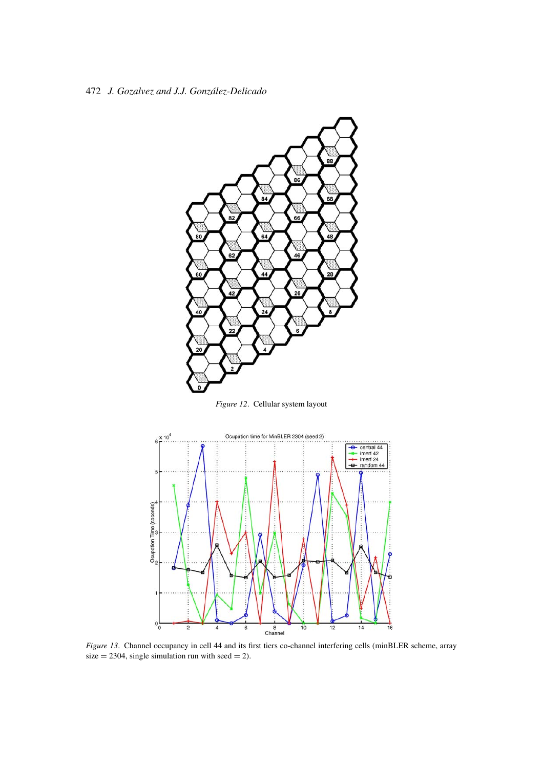

*Figure 12*. Cellular system layout



*Figure 13*. Channel occupancy in cell 44 and its first tiers co-channel interfering cells (minBLER scheme, array size = 2304, single simulation run with seed = 2).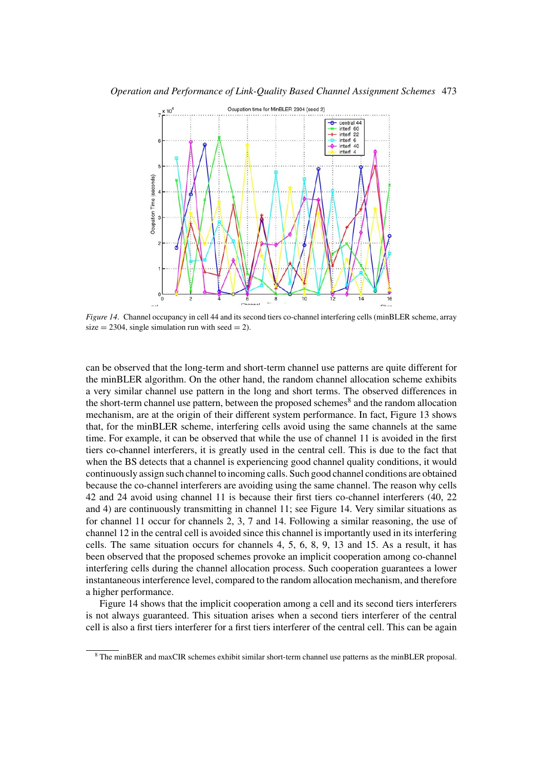

*Figure 14.* Channel occupancy in cell 44 and its second tiers co-channel interfering cells (minBLER scheme, array size  $= 2304$ , single simulation run with seed  $= 2$ ).

can be observed that the long-term and short-term channel use patterns are quite different for the minBLER algorithm. On the other hand, the random channel allocation scheme exhibits a very similar channel use pattern in the long and short terms. The observed differences in the short-term channel use pattern, between the proposed schemes<sup>8</sup> and the random allocation mechanism, are at the origin of their different system performance. In fact, Figure 13 shows that, for the minBLER scheme, interfering cells avoid using the same channels at the same time. For example, it can be observed that while the use of channel 11 is avoided in the first tiers co-channel interferers, it is greatly used in the central cell. This is due to the fact that when the BS detects that a channel is experiencing good channel quality conditions, it would continuously assign such channel to incoming calls. Such good channel conditions are obtained because the co-channel interferers are avoiding using the same channel. The reason why cells 42 and 24 avoid using channel 11 is because their first tiers co-channel interferers (40, 22 and 4) are continuously transmitting in channel 11; see Figure 14. Very similar situations as for channel 11 occur for channels 2, 3, 7 and 14. Following a similar reasoning, the use of channel 12 in the central cell is avoided since this channel is importantly used in its interfering cells. The same situation occurs for channels 4, 5, 6, 8, 9, 13 and 15. As a result, it has been observed that the proposed schemes provoke an implicit cooperation among co-channel interfering cells during the channel allocation process. Such cooperation guarantees a lower instantaneous interference level, compared to the random allocation mechanism, and therefore a higher performance.

Figure 14 shows that the implicit cooperation among a cell and its second tiers interferers is not always guaranteed. This situation arises when a second tiers interferer of the central cell is also a first tiers interferer for a first tiers interferer of the central cell. This can be again

<sup>8</sup> The minBER and maxCIR schemes exhibit similar short-term channel use patterns as the minBLER proposal.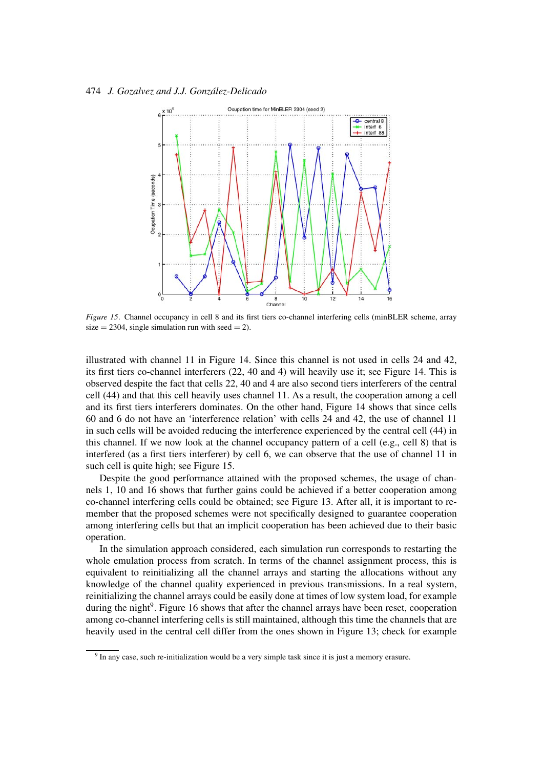

*Figure 15.* Channel occupancy in cell 8 and its first tiers co-channel interfering cells (minBLER scheme, array size  $= 2304$ , single simulation run with seed  $= 2$ ).

illustrated with channel 11 in Figure 14. Since this channel is not used in cells 24 and 42, its first tiers co-channel interferers (22, 40 and 4) will heavily use it; see Figure 14. This is observed despite the fact that cells 22, 40 and 4 are also second tiers interferers of the central cell (44) and that this cell heavily uses channel 11. As a result, the cooperation among a cell and its first tiers interferers dominates. On the other hand, Figure 14 shows that since cells 60 and 6 do not have an 'interference relation' with cells 24 and 42, the use of channel 11 in such cells will be avoided reducing the interference experienced by the central cell (44) in this channel. If we now look at the channel occupancy pattern of a cell (e.g., cell 8) that is interfered (as a first tiers interferer) by cell 6, we can observe that the use of channel 11 in such cell is quite high; see Figure 15.

Despite the good performance attained with the proposed schemes, the usage of channels 1, 10 and 16 shows that further gains could be achieved if a better cooperation among co-channel interfering cells could be obtained; see Figure 13. After all, it is important to remember that the proposed schemes were not specifically designed to guarantee cooperation among interfering cells but that an implicit cooperation has been achieved due to their basic operation.

In the simulation approach considered, each simulation run corresponds to restarting the whole emulation process from scratch. In terms of the channel assignment process, this is equivalent to reinitializing all the channel arrays and starting the allocations without any knowledge of the channel quality experienced in previous transmissions. In a real system, reinitializing the channel arrays could be easily done at times of low system load, for example during the night<sup>9</sup>. Figure 16 shows that after the channel arrays have been reset, cooperation among co-channel interfering cells is still maintained, although this time the channels that are heavily used in the central cell differ from the ones shown in Figure 13; check for example

<sup>&</sup>lt;sup>9</sup> In any case, such re-initialization would be a very simple task since it is just a memory erasure.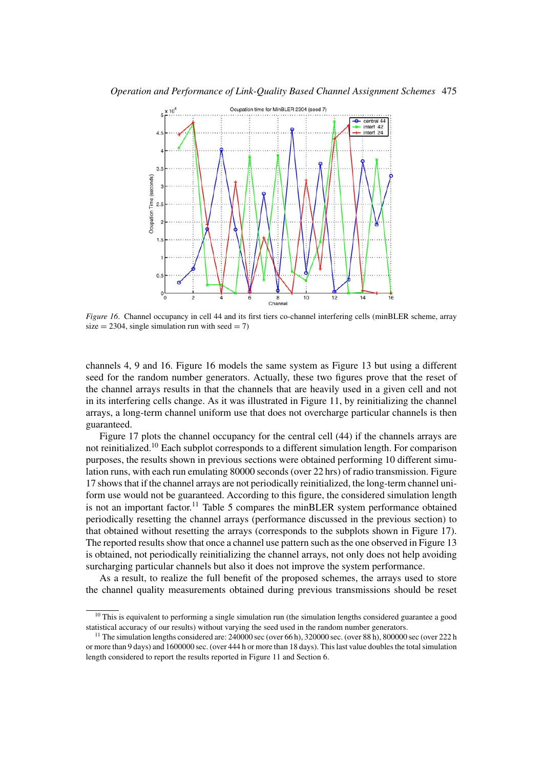

*Figure 16*. Channel occupancy in cell 44 and its first tiers co-channel interfering cells (minBLER scheme, array size = 2304, single simulation run with seed = 7)

channels 4, 9 and 16. Figure 16 models the same system as Figure 13 but using a different seed for the random number generators. Actually, these two figures prove that the reset of the channel arrays results in that the channels that are heavily used in a given cell and not in its interfering cells change. As it was illustrated in Figure 11, by reinitializing the channel arrays, a long-term channel uniform use that does not overcharge particular channels is then guaranteed.

Figure 17 plots the channel occupancy for the central cell (44) if the channels arrays are not reinitialized.10 Each subplot corresponds to a different simulation length. For comparison purposes, the results shown in previous sections were obtained performing 10 different simulation runs, with each run emulating 80000 seconds (over 22 hrs) of radio transmission. Figure 17 shows that if the channel arrays are not periodically reinitialized, the long-term channel uniform use would not be guaranteed. According to this figure, the considered simulation length is not an important factor.<sup>11</sup> Table 5 compares the minBLER system performance obtained periodically resetting the channel arrays (performance discussed in the previous section) to that obtained without resetting the arrays (corresponds to the subplots shown in Figure 17). The reported results show that once a channel use pattern such as the one observed in Figure 13 is obtained, not periodically reinitializing the channel arrays, not only does not help avoiding surcharging particular channels but also it does not improve the system performance.

As a result, to realize the full benefit of the proposed schemes, the arrays used to store the channel quality measurements obtained during previous transmissions should be reset

 $10$  This is equivalent to performing a single simulation run (the simulation lengths considered guarantee a good statistical accuracy of our results) without varying the seed used in the random number generators.

<sup>&</sup>lt;sup>11</sup> The simulation lengths considered are: 240000 sec (over 66 h), 320000 sec. (over 88 h), 800000 sec (over 222 h or more than 9 days) and 1600000 sec. (over 444 h or more than 18 days). This last value doubles the total simulation length considered to report the results reported in Figure 11 and Section 6.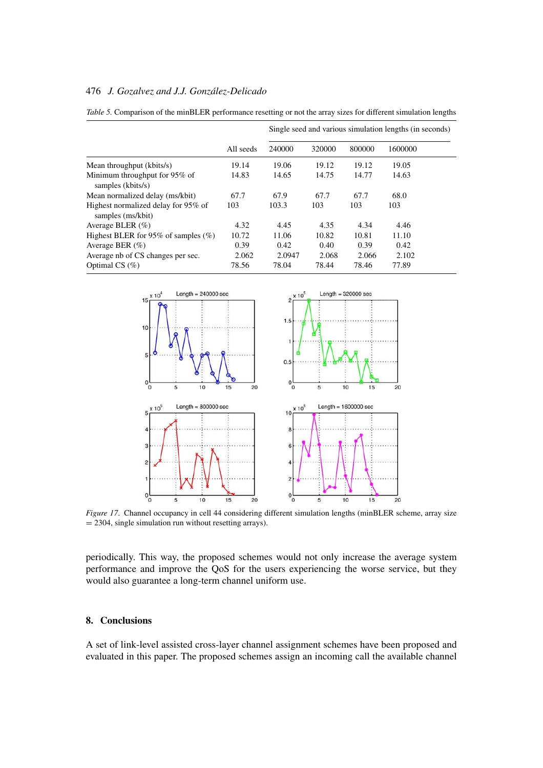*Table 5.* Comparison of the minBLER performance resetting or not the array sizes for different simulation lengths

|                                                          |           | Single seed and various simulation lengths (in seconds) |        |        |         |  |  |
|----------------------------------------------------------|-----------|---------------------------------------------------------|--------|--------|---------|--|--|
|                                                          | All seeds | 240000                                                  | 320000 | 800000 | 1600000 |  |  |
| Mean throughput (kbits/s)                                | 19.14     | 19.06                                                   | 19.12  | 19.12  | 19.05   |  |  |
| Minimum throughput for 95% of<br>samples (kbits/s)       | 14.83     | 14.65                                                   | 14.75  | 14.77  | 14.63   |  |  |
| Mean normalized delay (ms/kbit)                          | 67.7      | 67.9                                                    | 67.7   | 67.7   | 68.0    |  |  |
| Highest normalized delay for 95% of<br>samples (ms/kbit) | 103       | 103.3                                                   | 103    | 103    | 103     |  |  |
| Average BLER $(\% )$                                     | 4.32      | 4.45                                                    | 4.35   | 4.34   | 4.46    |  |  |
| Highest BLER for 95% of samples $(\%)$                   | 10.72     | 11.06                                                   | 10.82  | 10.81  | 11.10   |  |  |
| Average BER $(\% )$                                      | 0.39      | 0.42                                                    | 0.40   | 0.39   | 0.42    |  |  |
| Average nb of CS changes per sec.                        | 2.062     | 2.0947                                                  | 2.068  | 2.066  | 2.102   |  |  |
| Optimal CS $(\%)$                                        | 78.56     | 78.04                                                   | 78.44  | 78.46  | 77.89   |  |  |



*Figure 17*. Channel occupancy in cell 44 considering different simulation lengths (minBLER scheme, array size  $= 2304$ , single simulation run without resetting arrays).

periodically. This way, the proposed schemes would not only increase the average system performance and improve the QoS for the users experiencing the worse service, but they would also guarantee a long-term channel uniform use.

# **8. Conclusions**

A set of link-level assisted cross-layer channel assignment schemes have been proposed and evaluated in this paper. The proposed schemes assign an incoming call the available channel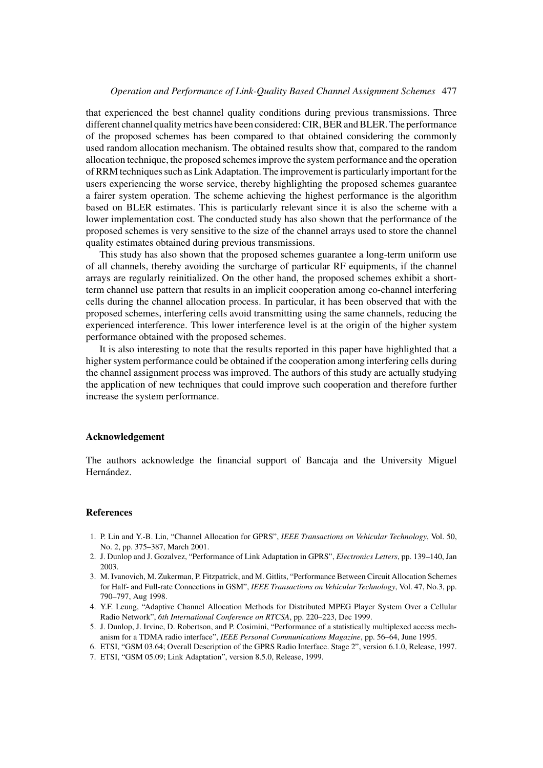#### *Operation and Performance of Link-Quality Based Channel Assignment Schemes* 477

that experienced the best channel quality conditions during previous transmissions. Three different channel quality metrics have been considered: CIR, BER and BLER. The performance of the proposed schemes has been compared to that obtained considering the commonly used random allocation mechanism. The obtained results show that, compared to the random allocation technique, the proposed schemes improve the system performance and the operation of RRM techniques such as Link Adaptation. The improvement is particularly important for the users experiencing the worse service, thereby highlighting the proposed schemes guarantee a fairer system operation. The scheme achieving the highest performance is the algorithm based on BLER estimates. This is particularly relevant since it is also the scheme with a lower implementation cost. The conducted study has also shown that the performance of the proposed schemes is very sensitive to the size of the channel arrays used to store the channel quality estimates obtained during previous transmissions.

This study has also shown that the proposed schemes guarantee a long-term uniform use of all channels, thereby avoiding the surcharge of particular RF equipments, if the channel arrays are regularly reinitialized. On the other hand, the proposed schemes exhibit a shortterm channel use pattern that results in an implicit cooperation among co-channel interfering cells during the channel allocation process. In particular, it has been observed that with the proposed schemes, interfering cells avoid transmitting using the same channels, reducing the experienced interference. This lower interference level is at the origin of the higher system performance obtained with the proposed schemes.

It is also interesting to note that the results reported in this paper have highlighted that a higher system performance could be obtained if the cooperation among interfering cells during the channel assignment process was improved. The authors of this study are actually studying the application of new techniques that could improve such cooperation and therefore further increase the system performance.

#### **Acknowledgement**

The authors acknowledge the financial support of Bancaja and the University Miguel Hernández.

#### **References**

- 1. P. Lin and Y.-B. Lin, "Channel Allocation for GPRS", *IEEE Transactions on Vehicular Technology*, Vol. 50, No. 2, pp. 375–387, March 2001.
- 2. J. Dunlop and J. Gozalvez, "Performance of Link Adaptation in GPRS", *Electronics Letters*, pp. 139–140, Jan 2003.
- 3. M. Ivanovich, M. Zukerman, P. Fitzpatrick, and M. Gitlits, "Performance Between Circuit Allocation Schemes for Half- and Full-rate Connections in GSM", *IEEE Transactions on Vehicular Technology*, Vol. 47, No.3, pp. 790–797, Aug 1998.
- 4. Y.F. Leung, "Adaptive Channel Allocation Methods for Distributed MPEG Player System Over a Cellular Radio Network", *6th International Conference on RTCSA*, pp. 220–223, Dec 1999.
- 5. J. Dunlop, J. Irvine, D. Robertson, and P. Cosimini, "Performance of a statistically multiplexed access mechanism for a TDMA radio interface", *IEEE Personal Communications Magazine*, pp. 56–64, June 1995.
- 6. ETSI, "GSM 03.64; Overall Description of the GPRS Radio Interface. Stage 2", version 6.1.0, Release, 1997.
- 7. ETSI, "GSM 05.09; Link Adaptation", version 8.5.0, Release, 1999.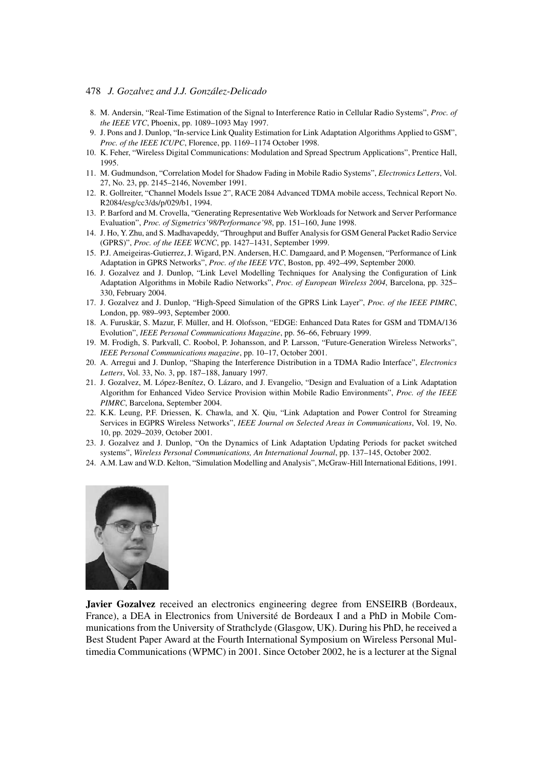- 8. M. Andersin, "Real-Time Estimation of the Signal to Interference Ratio in Cellular Radio Systems", *Proc. of the IEEE VTC*, Phoenix, pp. 1089–1093 May 1997.
- 9. J. Pons and J. Dunlop, "In-service Link Quality Estimation for Link Adaptation Algorithms Applied to GSM", *Proc. of the IEEE ICUPC*, Florence, pp. 1169–1174 October 1998.
- 10. K. Feher, "Wireless Digital Communications: Modulation and Spread Spectrum Applications", Prentice Hall, 1995.
- 11. M. Gudmundson, "Correlation Model for Shadow Fading in Mobile Radio Systems", *Electronics Letters*, Vol. 27, No. 23, pp. 2145–2146, November 1991.
- 12. R. Gollreiter, "Channel Models Issue 2", RACE 2084 Advanced TDMA mobile access, Technical Report No. R2084/esg/cc3/ds/p/029/b1, 1994.
- 13. P. Barford and M. Crovella, "Generating Representative Web Workloads for Network and Server Performance Evaluation", *Proc. of Sigmetrics'98/Performance'98*, pp. 151–160, June 1998.
- 14. J. Ho, Y. Zhu, and S. Madhavapeddy, "Throughput and Buffer Analysis for GSM General Packet Radio Service (GPRS)", *Proc. of the IEEE WCNC*, pp. 1427–1431, September 1999.
- 15. P.J. Ameigeiras-Gutierrez, J. Wigard, P.N. Andersen, H.C. Damgaard, and P. Mogensen, "Performance of Link Adaptation in GPRS Networks", *Proc. of the IEEE VTC*, Boston, pp. 492–499, September 2000.
- 16. J. Gozalvez and J. Dunlop, "Link Level Modelling Techniques for Analysing the Configuration of Link Adaptation Algorithms in Mobile Radio Networks", *Proc. of European Wireless 2004*, Barcelona, pp. 325– 330, February 2004.
- 17. J. Gozalvez and J. Dunlop, "High-Speed Simulation of the GPRS Link Layer", *Proc. of the IEEE PIMRC*, London, pp. 989–993, September 2000.
- 18. A. Furuskär, S. Mazur, F. Müller, and H. Olofsson, "EDGE: Enhanced Data Rates for GSM and TDMA/136 Evolution", *IEEE Personal Communications Magazine*, pp. 56–66, February 1999.
- 19. M. Frodigh, S. Parkvall, C. Roobol, P. Johansson, and P. Larsson, "Future-Generation Wireless Networks", *IEEE Personal Communications magazine*, pp. 10–17, October 2001.
- 20. A. Arregui and J. Dunlop, "Shaping the Interference Distribution in a TDMA Radio Interface", *Electronics Letters*, Vol. 33, No. 3, pp. 187–188, January 1997.
- 21. J. Gozalvez, M. López-Benítez, O. Lázaro, and J. Evangelio, "Design and Evaluation of a Link Adaptation Algorithm for Enhanced Video Service Provision within Mobile Radio Environments", *Proc. of the IEEE PIMRC*, Barcelona, September 2004.
- 22. K.K. Leung, P.F. Driessen, K. Chawla, and X. Qiu, "Link Adaptation and Power Control for Streaming Services in EGPRS Wireless Networks", *IEEE Journal on Selected Areas in Communications*, Vol. 19, No. 10, pp. 2029–2039, October 2001.
- 23. J. Gozalvez and J. Dunlop, "On the Dynamics of Link Adaptation Updating Periods for packet switched systems", *Wireless Personal Communications, An International Journal*, pp. 137–145, October 2002.
- 24. A.M. Law and W.D. Kelton, "Simulation Modelling and Analysis", McGraw-Hill International Editions, 1991.



**Javier Gozalvez** received an electronics engineering degree from ENSEIRB (Bordeaux, France), a DEA in Electronics from Université de Bordeaux I and a PhD in Mobile Communications from the University of Strathclyde (Glasgow, UK). During his PhD, he received a Best Student Paper Award at the Fourth International Symposium on Wireless Personal Multimedia Communications (WPMC) in 2001. Since October 2002, he is a lecturer at the Signal